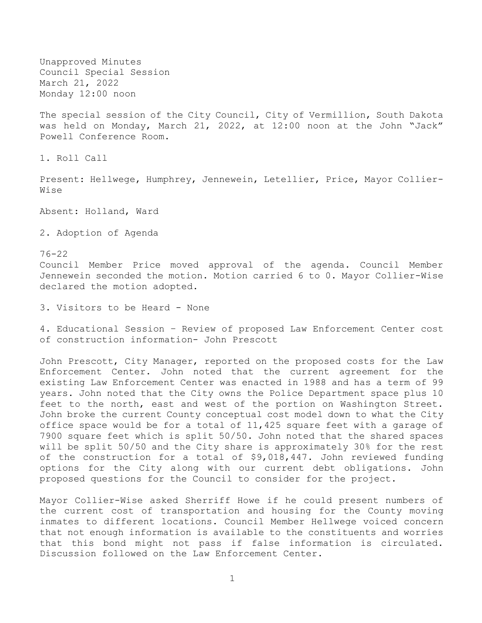Unapproved Minutes Council Special Session March 21, 2022 Monday 12:00 noon

The special session of the City Council, City of Vermillion, South Dakota was held on Monday, March 21, 2022, at 12:00 noon at the John "Jack" Powell Conference Room.

1. Roll Call

Present: Hellwege, Humphrey, Jennewein, Letellier, Price, Mayor Collier-Wise

Absent: Holland, Ward

2. Adoption of Agenda

76-22 Council Member Price moved approval of the agenda. Council Member Jennewein seconded the motion. Motion carried 6 to 0. Mayor Collier-Wise declared the motion adopted.

3. Visitors to be Heard - None

4. Educational Session – Review of proposed Law Enforcement Center cost of construction information- John Prescott

John Prescott, City Manager, reported on the proposed costs for the Law Enforcement Center. John noted that the current agreement for the existing Law Enforcement Center was enacted in 1988 and has a term of 99 years. John noted that the City owns the Police Department space plus 10 feet to the north, east and west of the portion on Washington Street. John broke the current County conceptual cost model down to what the City office space would be for a total of 11,425 square feet with a garage of 7900 square feet which is split 50/50. John noted that the shared spaces will be split 50/50 and the City share is approximately 30% for the rest of the construction for a total of \$9,018,447. John reviewed funding options for the City along with our current debt obligations. John proposed questions for the Council to consider for the project.

Mayor Collier-Wise asked Sherriff Howe if he could present numbers of the current cost of transportation and housing for the County moving inmates to different locations. Council Member Hellwege voiced concern that not enough information is available to the constituents and worries that this bond might not pass if false information is circulated. Discussion followed on the Law Enforcement Center.

1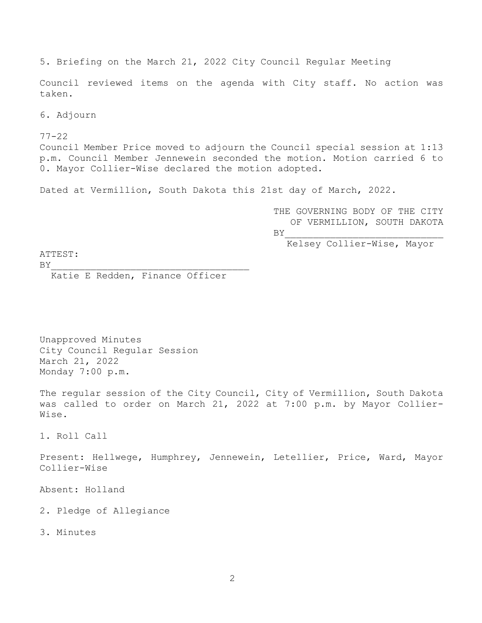5. Briefing on the March 21, 2022 City Council Regular Meeting

Council reviewed items on the agenda with City staff. No action was taken.

6. Adjourn

77-22 Council Member Price moved to adjourn the Council special session at 1:13 p.m. Council Member Jennewein seconded the motion. Motion carried 6 to 0. Mayor Collier-Wise declared the motion adopted.

Dated at Vermillion, South Dakota this 21st day of March, 2022.

THE GOVERNING BODY OF THE CITY OF VERMILLION, SOUTH DAKOTA  $BY$ 

Kelsey Collier-Wise, Mayor

ATTEST:

 $BY$ 

Katie E Redden, Finance Officer

Unapproved Minutes City Council Regular Session March 21, 2022 Monday 7:00 p.m.

The regular session of the City Council, City of Vermillion, South Dakota was called to order on March 21, 2022 at 7:00 p.m. by Mayor Collier-Wise.

1. Roll Call

Present: Hellwege, Humphrey, Jennewein, Letellier, Price, Ward, Mayor Collier-Wise

Absent: Holland

2. Pledge of Allegiance

3. Minutes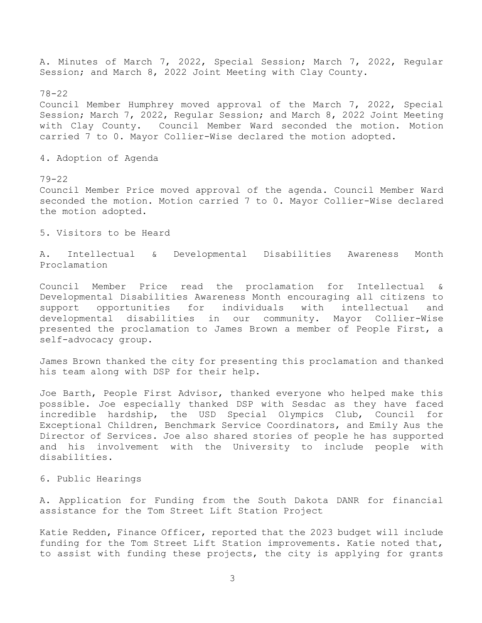A. Minutes of March 7, 2022, Special Session; March 7, 2022, Regular Session; and March 8, 2022 Joint Meeting with Clay County.

78-22 Council Member Humphrey moved approval of the March 7, 2022, Special Session; March 7, 2022, Regular Session; and March 8, 2022 Joint Meeting with Clay County. Council Member Ward seconded the motion. Motion carried 7 to 0. Mayor Collier-Wise declared the motion adopted.

4. Adoption of Agenda

#### 79-22

Council Member Price moved approval of the agenda. Council Member Ward seconded the motion. Motion carried 7 to 0. Mayor Collier-Wise declared the motion adopted.

5. Visitors to be Heard

A. Intellectual & Developmental Disabilities Awareness Month Proclamation

Council Member Price read the proclamation for Intellectual & Developmental Disabilities Awareness Month encouraging all citizens to support opportunities for individuals with intellectual and developmental disabilities in our community. Mayor Collier-Wise presented the proclamation to James Brown a member of People First, a self-advocacy group.

James Brown thanked the city for presenting this proclamation and thanked his team along with DSP for their help.

Joe Barth, People First Advisor, thanked everyone who helped make this possible. Joe especially thanked DSP with Sesdac as they have faced incredible hardship, the USD Special Olympics Club, Council for Exceptional Children, Benchmark Service Coordinators, and Emily Aus the Director of Services. Joe also shared stories of people he has supported and his involvement with the University to include people with disabilities.

### 6. Public Hearings

A. Application for Funding from the South Dakota DANR for financial assistance for the Tom Street Lift Station Project

Katie Redden, Finance Officer, reported that the 2023 budget will include funding for the Tom Street Lift Station improvements. Katie noted that, to assist with funding these projects, the city is applying for grants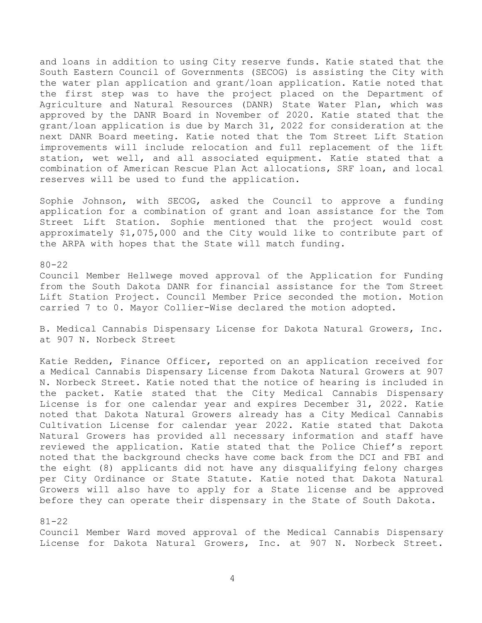and loans in addition to using City reserve funds. Katie stated that the South Eastern Council of Governments (SECOG) is assisting the City with the water plan application and grant/loan application. Katie noted that the first step was to have the project placed on the Department of Agriculture and Natural Resources (DANR) State Water Plan, which was approved by the DANR Board in November of 2020. Katie stated that the grant/loan application is due by March 31, 2022 for consideration at the next DANR Board meeting. Katie noted that the Tom Street Lift Station improvements will include relocation and full replacement of the lift station, wet well, and all associated equipment. Katie stated that a combination of American Rescue Plan Act allocations, SRF loan, and local reserves will be used to fund the application.

Sophie Johnson, with SECOG, asked the Council to approve a funding application for a combination of grant and loan assistance for the Tom Street Lift Station. Sophie mentioned that the project would cost approximately \$1,075,000 and the City would like to contribute part of the ARPA with hopes that the State will match funding.

80-22

Council Member Hellwege moved approval of the Application for Funding from the South Dakota DANR for financial assistance for the Tom Street Lift Station Project. Council Member Price seconded the motion. Motion carried 7 to 0. Mayor Collier-Wise declared the motion adopted.

B. Medical Cannabis Dispensary License for Dakota Natural Growers, Inc. at 907 N. Norbeck Street

Katie Redden, Finance Officer, reported on an application received for a Medical Cannabis Dispensary License from Dakota Natural Growers at 907 N. Norbeck Street. Katie noted that the notice of hearing is included in the packet. Katie stated that the City Medical Cannabis Dispensary License is for one calendar year and expires December 31, 2022. Katie noted that Dakota Natural Growers already has a City Medical Cannabis Cultivation License for calendar year 2022. Katie stated that Dakota Natural Growers has provided all necessary information and staff have reviewed the application. Katie stated that the Police Chief's report noted that the background checks have come back from the DCI and FBI and the eight (8) applicants did not have any disqualifying felony charges per City Ordinance or State Statute. Katie noted that Dakota Natural Growers will also have to apply for a State license and be approved before they can operate their dispensary in the State of South Dakota.

81-22

Council Member Ward moved approval of the Medical Cannabis Dispensary License for Dakota Natural Growers, Inc. at 907 N. Norbeck Street.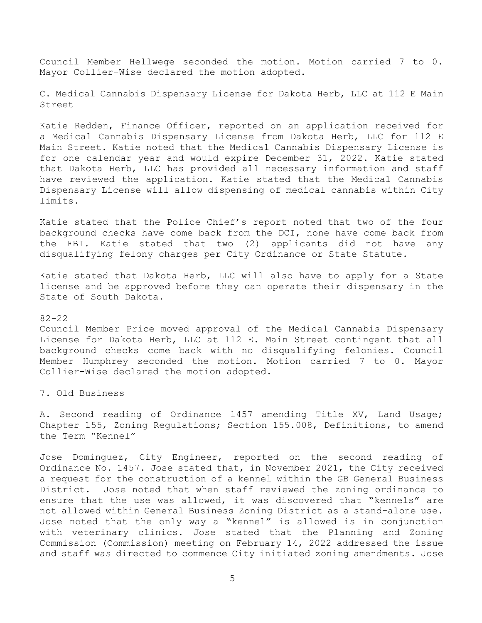Council Member Hellwege seconded the motion. Motion carried 7 to 0. Mayor Collier-Wise declared the motion adopted.

C. Medical Cannabis Dispensary License for Dakota Herb, LLC at 112 E Main Street

Katie Redden, Finance Officer, reported on an application received for a Medical Cannabis Dispensary License from Dakota Herb, LLC for 112 E Main Street. Katie noted that the Medical Cannabis Dispensary License is for one calendar year and would expire December 31, 2022. Katie stated that Dakota Herb, LLC has provided all necessary information and staff have reviewed the application. Katie stated that the Medical Cannabis Dispensary License will allow dispensing of medical cannabis within City limits.

Katie stated that the Police Chief's report noted that two of the four background checks have come back from the DCI, none have come back from the FBI. Katie stated that two (2) applicants did not have any disqualifying felony charges per City Ordinance or State Statute.

Katie stated that Dakota Herb, LLC will also have to apply for a State license and be approved before they can operate their dispensary in the State of South Dakota.

#### 82-22

Council Member Price moved approval of the Medical Cannabis Dispensary License for Dakota Herb, LLC at 112 E. Main Street contingent that all background checks come back with no disqualifying felonies. Council Member Humphrey seconded the motion. Motion carried 7 to 0. Mayor Collier-Wise declared the motion adopted.

7. Old Business

A. Second reading of Ordinance 1457 amending Title XV, Land Usage; Chapter 155, Zoning Regulations; Section 155.008, Definitions, to amend the Term "Kennel"

Jose Dominguez, City Engineer, reported on the second reading of Ordinance No. 1457. Jose stated that, in November 2021, the City received a request for the construction of a kennel within the GB General Business District. Jose noted that when staff reviewed the zoning ordinance to ensure that the use was allowed, it was discovered that "kennels" are not allowed within General Business Zoning District as a stand-alone use. Jose noted that the only way a "kennel" is allowed is in conjunction with veterinary clinics. Jose stated that the Planning and Zoning Commission (Commission) meeting on February 14, 2022 addressed the issue and staff was directed to commence City initiated zoning amendments. Jose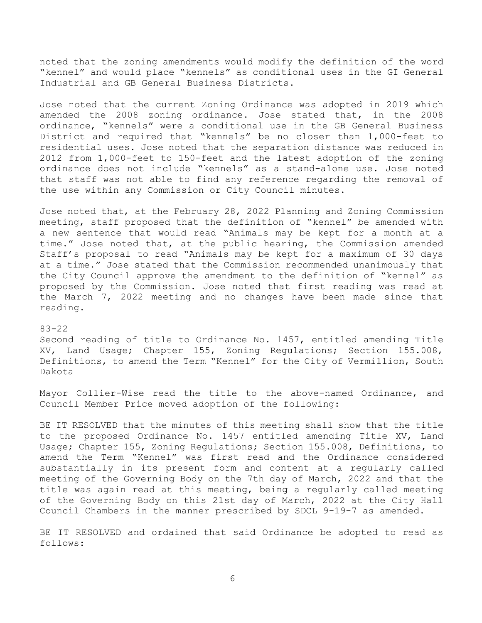noted that the zoning amendments would modify the definition of the word "kennel" and would place "kennels" as conditional uses in the GI General Industrial and GB General Business Districts.

Jose noted that the current Zoning Ordinance was adopted in 2019 which amended the 2008 zoning ordinance. Jose stated that, in the 2008 ordinance, "kennels" were a conditional use in the GB General Business District and required that "kennels" be no closer than 1,000-feet to residential uses. Jose noted that the separation distance was reduced in 2012 from 1,000-feet to 150-feet and the latest adoption of the zoning ordinance does not include "kennels" as a stand-alone use. Jose noted that staff was not able to find any reference regarding the removal of the use within any Commission or City Council minutes.

Jose noted that, at the February 28, 2022 Planning and Zoning Commission meeting, staff proposed that the definition of "kennel" be amended with a new sentence that would read "Animals may be kept for a month at a time." Jose noted that, at the public hearing, the Commission amended Staff's proposal to read "Animals may be kept for a maximum of 30 days at a time." Jose stated that the Commission recommended unanimously that the City Council approve the amendment to the definition of "kennel" as proposed by the Commission. Jose noted that first reading was read at the March 7, 2022 meeting and no changes have been made since that reading.

# 83-22

Second reading of title to Ordinance No. 1457, entitled amending Title XV, Land Usage; Chapter 155, Zoning Regulations; Section 155.008, Definitions, to amend the Term "Kennel" for the City of Vermillion, South Dakota

Mayor Collier-Wise read the title to the above-named Ordinance, and Council Member Price moved adoption of the following:

BE IT RESOLVED that the minutes of this meeting shall show that the title to the proposed Ordinance No. 1457 entitled amending Title XV, Land Usage; Chapter 155, Zoning Regulations; Section 155.008, Definitions, to amend the Term "Kennel" was first read and the Ordinance considered substantially in its present form and content at a regularly called meeting of the Governing Body on the 7th day of March, 2022 and that the title was again read at this meeting, being a regularly called meeting of the Governing Body on this 21st day of March, 2022 at the City Hall Council Chambers in the manner prescribed by SDCL 9-19-7 as amended.

BE IT RESOLVED and ordained that said Ordinance be adopted to read as follows: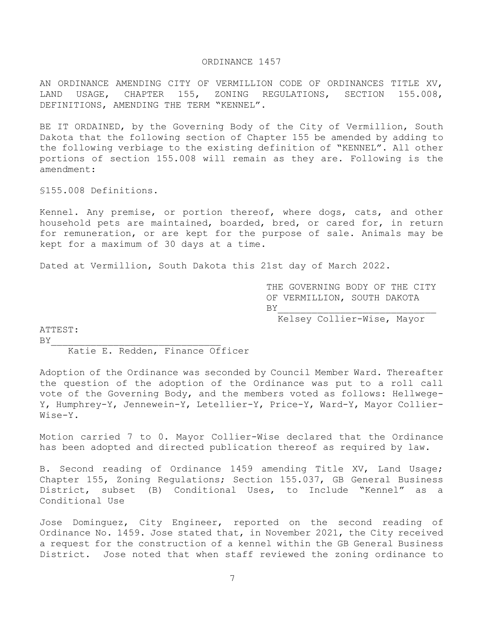## ORDINANCE 1457

AN ORDINANCE AMENDING CITY OF VERMILLION CODE OF ORDINANCES TITLE XV, LAND USAGE, CHAPTER 155, ZONING REGULATIONS, SECTION 155.008, DEFINITIONS, AMENDING THE TERM "KENNEL".

BE IT ORDAINED, by the Governing Body of the City of Vermillion, South Dakota that the following section of Chapter 155 be amended by adding to the following verbiage to the existing definition of "KENNEL". All other portions of section 155.008 will remain as they are. Following is the amendment:

§155.008 Definitions.

Kennel. Any premise, or portion thereof, where dogs, cats, and other household pets are maintained, boarded, bred, or cared for, in return for remuneration, or are kept for the purpose of sale. Animals may be kept for a maximum of 30 days at a time.

Dated at Vermillion, South Dakota this 21st day of March 2022.

THE GOVERNING BODY OF THE CITY OF VERMILLION, SOUTH DAKOTA  $BY$ 

Kelsey Collier-Wise, Mayor

ATTEST:  $BY$ 

Katie E. Redden, Finance Officer

Adoption of the Ordinance was seconded by Council Member Ward. Thereafter the question of the adoption of the Ordinance was put to a roll call vote of the Governing Body, and the members voted as follows: Hellwege-Y, Humphrey-Y, Jennewein-Y, Letellier-Y, Price-Y, Ward-Y, Mayor Collier-Wise-Y.

Motion carried 7 to 0. Mayor Collier-Wise declared that the Ordinance has been adopted and directed publication thereof as required by law.

B. Second reading of Ordinance 1459 amending Title XV, Land Usage; Chapter 155, Zoning Regulations; Section 155.037, GB General Business District, subset (B) Conditional Uses, to Include "Kennel" as a Conditional Use

Jose Dominguez, City Engineer, reported on the second reading of Ordinance No. 1459. Jose stated that, in November 2021, the City received a request for the construction of a kennel within the GB General Business District. Jose noted that when staff reviewed the zoning ordinance to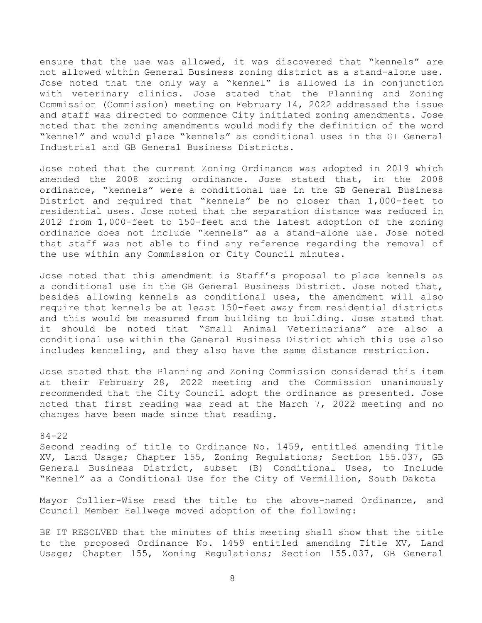ensure that the use was allowed, it was discovered that "kennels" are not allowed within General Business zoning district as a stand-alone use. Jose noted that the only way a "kennel" is allowed is in conjunction with veterinary clinics. Jose stated that the Planning and Zoning Commission (Commission) meeting on February 14, 2022 addressed the issue and staff was directed to commence City initiated zoning amendments. Jose noted that the zoning amendments would modify the definition of the word "kennel" and would place "kennels" as conditional uses in the GI General Industrial and GB General Business Districts.

Jose noted that the current Zoning Ordinance was adopted in 2019 which amended the 2008 zoning ordinance. Jose stated that, in the 2008 ordinance, "kennels" were a conditional use in the GB General Business District and required that "kennels" be no closer than 1,000-feet to residential uses. Jose noted that the separation distance was reduced in 2012 from 1,000-feet to 150-feet and the latest adoption of the zoning ordinance does not include "kennels" as a stand-alone use. Jose noted that staff was not able to find any reference regarding the removal of the use within any Commission or City Council minutes.

Jose noted that this amendment is Staff's proposal to place kennels as a conditional use in the GB General Business District. Jose noted that, besides allowing kennels as conditional uses, the amendment will also require that kennels be at least 150-feet away from residential districts and this would be measured from building to building. Jose stated that it should be noted that "Small Animal Veterinarians" are also a conditional use within the General Business District which this use also includes kenneling, and they also have the same distance restriction.

Jose stated that the Planning and Zoning Commission considered this item at their February 28, 2022 meeting and the Commission unanimously recommended that the City Council adopt the ordinance as presented. Jose noted that first reading was read at the March 7, 2022 meeting and no changes have been made since that reading.

## 84-22

Second reading of title to Ordinance No. 1459, entitled amending Title XV, Land Usage; Chapter 155, Zoning Regulations; Section 155.037, GB General Business District, subset (B) Conditional Uses, to Include "Kennel" as a Conditional Use for the City of Vermillion, South Dakota

Mayor Collier-Wise read the title to the above-named Ordinance, and Council Member Hellwege moved adoption of the following:

BE IT RESOLVED that the minutes of this meeting shall show that the title to the proposed Ordinance No. 1459 entitled amending Title XV, Land Usage; Chapter 155, Zoning Regulations; Section 155.037, GB General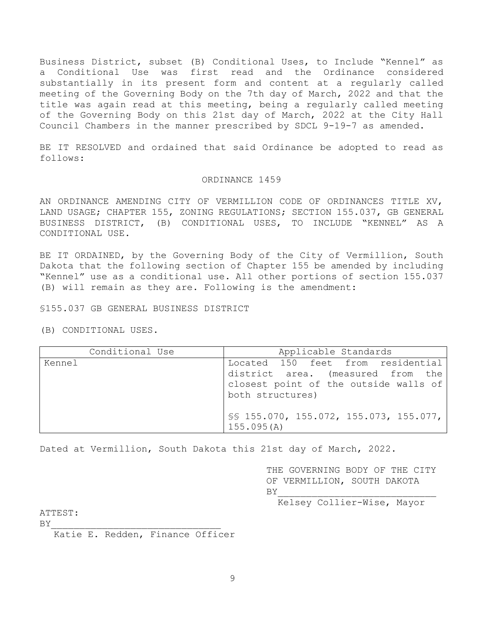Business District, subset (B) Conditional Uses, to Include "Kennel" as a Conditional Use was first read and the Ordinance considered substantially in its present form and content at a regularly called meeting of the Governing Body on the 7th day of March, 2022 and that the title was again read at this meeting, being a regularly called meeting of the Governing Body on this 21st day of March, 2022 at the City Hall Council Chambers in the manner prescribed by SDCL 9-19-7 as amended.

BE IT RESOLVED and ordained that said Ordinance be adopted to read as follows:

## ORDINANCE 1459

AN ORDINANCE AMENDING CITY OF VERMILLION CODE OF ORDINANCES TITLE XV, LAND USAGE; CHAPTER 155, ZONING REGULATIONS; SECTION 155.037, GB GENERAL BUSINESS DISTRICT, (B) CONDITIONAL USES, TO INCLUDE "KENNEL" AS A CONDITIONAL USE.

BE IT ORDAINED, by the Governing Body of the City of Vermillion, South Dakota that the following section of Chapter 155 be amended by including "Kennel" use as a conditional use. All other portions of section 155.037 (B) will remain as they are. Following is the amendment:

§155.037 GB GENERAL BUSINESS DISTRICT

(B) CONDITIONAL USES.

| Conditional Use | Applicable Standards                                                                                                                |  |  |
|-----------------|-------------------------------------------------------------------------------------------------------------------------------------|--|--|
| Kennel          | Located 150 feet from residential<br>district area. (measured from the<br>closest point of the outside walls of<br>both structures) |  |  |
|                 | SS 155.070, 155.072, 155.073, 155.077,<br>155.095(A)                                                                                |  |  |

Dated at Vermillion, South Dakota this 21st day of March, 2022.

THE GOVERNING BODY OF THE CITY OF VERMILLION, SOUTH DAKOTA  $BY$ 

Kelsey Collier-Wise, Mayor

ATTEST:

 $BY$ 

Katie E. Redden, Finance Officer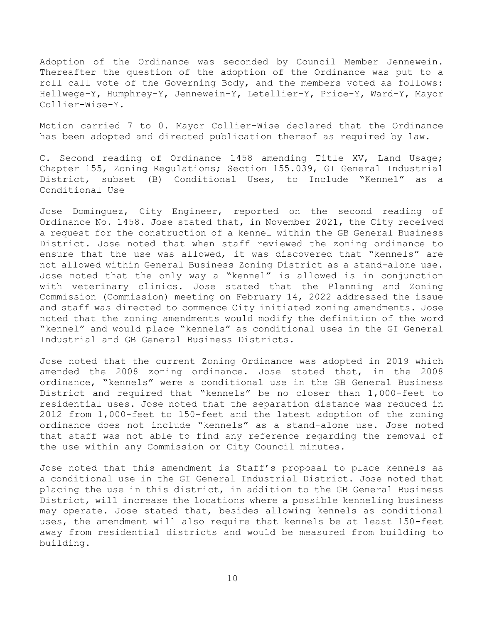Adoption of the Ordinance was seconded by Council Member Jennewein. Thereafter the question of the adoption of the Ordinance was put to a roll call vote of the Governing Body, and the members voted as follows: Hellwege-Y, Humphrey-Y, Jennewein-Y, Letellier-Y, Price-Y, Ward-Y, Mayor Collier-Wise-Y.

Motion carried 7 to 0. Mayor Collier-Wise declared that the Ordinance has been adopted and directed publication thereof as required by law.

C. Second reading of Ordinance 1458 amending Title XV, Land Usage; Chapter 155, Zoning Regulations; Section 155.039, GI General Industrial District, subset (B) Conditional Uses, to Include "Kennel" as a Conditional Use

Jose Dominguez, City Engineer, reported on the second reading of Ordinance No. 1458. Jose stated that, in November 2021, the City received a request for the construction of a kennel within the GB General Business District. Jose noted that when staff reviewed the zoning ordinance to ensure that the use was allowed, it was discovered that "kennels" are not allowed within General Business Zoning District as a stand-alone use. Jose noted that the only way a "kennel" is allowed is in conjunction with veterinary clinics. Jose stated that the Planning and Zoning Commission (Commission) meeting on February 14, 2022 addressed the issue and staff was directed to commence City initiated zoning amendments. Jose noted that the zoning amendments would modify the definition of the word "kennel" and would place "kennels" as conditional uses in the GI General Industrial and GB General Business Districts.

Jose noted that the current Zoning Ordinance was adopted in 2019 which amended the 2008 zoning ordinance. Jose stated that, in the 2008 ordinance, "kennels" were a conditional use in the GB General Business District and required that "kennels" be no closer than 1,000-feet to residential uses. Jose noted that the separation distance was reduced in 2012 from 1,000-feet to 150-feet and the latest adoption of the zoning ordinance does not include "kennels" as a stand-alone use. Jose noted that staff was not able to find any reference regarding the removal of the use within any Commission or City Council minutes.

Jose noted that this amendment is Staff's proposal to place kennels as a conditional use in the GI General Industrial District. Jose noted that placing the use in this district, in addition to the GB General Business District, will increase the locations where a possible kenneling business may operate. Jose stated that, besides allowing kennels as conditional uses, the amendment will also require that kennels be at least 150-feet away from residential districts and would be measured from building to building.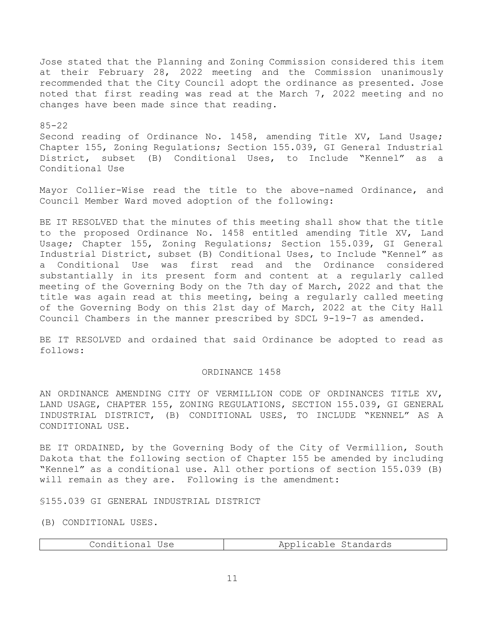Jose stated that the Planning and Zoning Commission considered this item at their February 28, 2022 meeting and the Commission unanimously recommended that the City Council adopt the ordinance as presented. Jose noted that first reading was read at the March 7, 2022 meeting and no changes have been made since that reading.

## 85-22

Second reading of Ordinance No. 1458, amending Title XV, Land Usage; Chapter 155, Zoning Regulations; Section 155.039, GI General Industrial District, subset (B) Conditional Uses, to Include "Kennel" as a Conditional Use

Mayor Collier-Wise read the title to the above-named Ordinance, and Council Member Ward moved adoption of the following:

BE IT RESOLVED that the minutes of this meeting shall show that the title to the proposed Ordinance No. 1458 entitled amending Title XV, Land Usage; Chapter 155, Zoning Regulations; Section 155.039, GI General Industrial District, subset (B) Conditional Uses, to Include "Kennel" as a Conditional Use was first read and the Ordinance considered substantially in its present form and content at a regularly called meeting of the Governing Body on the 7th day of March, 2022 and that the title was again read at this meeting, being a regularly called meeting of the Governing Body on this 21st day of March, 2022 at the City Hall Council Chambers in the manner prescribed by SDCL 9-19-7 as amended.

BE IT RESOLVED and ordained that said Ordinance be adopted to read as follows:

# ORDINANCE 1458

AN ORDINANCE AMENDING CITY OF VERMILLION CODE OF ORDINANCES TITLE XV, LAND USAGE, CHAPTER 155, ZONING REGULATIONS, SECTION 155.039, GI GENERAL INDUSTRIAL DISTRICT, (B) CONDITIONAL USES, TO INCLUDE "KENNEL" AS A CONDITIONAL USE.

BE IT ORDAINED, by the Governing Body of the City of Vermillion, South Dakota that the following section of Chapter 155 be amended by including "Kennel" as a conditional use. All other portions of section 155.039 (B) will remain as they are. Following is the amendment:

§155.039 GI GENERAL INDUSTRIAL DISTRICT

(B) CONDITIONAL USES.

| Applicable Standards<br>Conditional Use |
|-----------------------------------------|
|-----------------------------------------|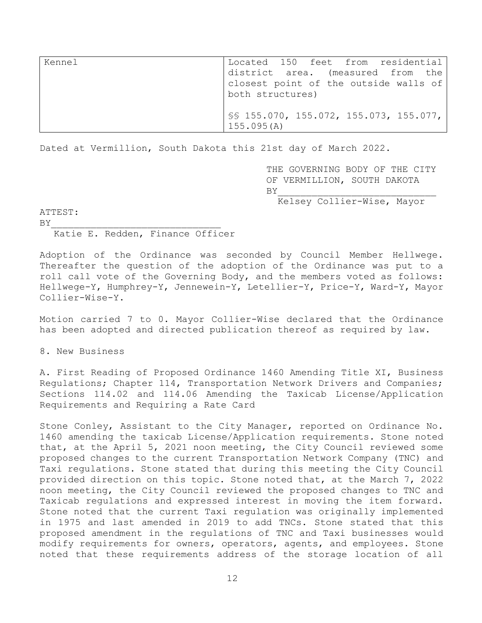| Kennel | Located 150 feet from residential                         |
|--------|-----------------------------------------------------------|
|        | district area. (measured from the                         |
|        | closest point of the outside walls of<br>both structures) |
|        | $SS$ 155.070, 155.072, 155.073, 155.077,<br>155.095(A)    |

Dated at Vermillion, South Dakota this 21st day of March 2022.

THE GOVERNING BODY OF THE CITY OF VERMILLION, SOUTH DAKOTA  $BY$ Kelsey Collier-Wise, Mayor

ATTEST:

 $BY$ 

Katie E. Redden, Finance Officer

Adoption of the Ordinance was seconded by Council Member Hellwege. Thereafter the question of the adoption of the Ordinance was put to a roll call vote of the Governing Body, and the members voted as follows: Hellwege-Y, Humphrey-Y, Jennewein-Y, Letellier-Y, Price-Y, Ward-Y, Mayor Collier-Wise-Y.

Motion carried 7 to 0. Mayor Collier-Wise declared that the Ordinance has been adopted and directed publication thereof as required by law.

8. New Business

A. First Reading of Proposed Ordinance 1460 Amending Title XI, Business Regulations; Chapter 114, Transportation Network Drivers and Companies; Sections 114.02 and 114.06 Amending the Taxicab License/Application Requirements and Requiring a Rate Card

Stone Conley, Assistant to the City Manager, reported on Ordinance No. 1460 amending the taxicab License/Application requirements. Stone noted that, at the April 5, 2021 noon meeting, the City Council reviewed some proposed changes to the current Transportation Network Company (TNC) and Taxi regulations. Stone stated that during this meeting the City Council provided direction on this topic. Stone noted that, at the March 7, 2022 noon meeting, the City Council reviewed the proposed changes to TNC and Taxicab regulations and expressed interest in moving the item forward. Stone noted that the current Taxi regulation was originally implemented in 1975 and last amended in 2019 to add TNCs. Stone stated that this proposed amendment in the regulations of TNC and Taxi businesses would modify requirements for owners, operators, agents, and employees. Stone noted that these requirements address of the storage location of all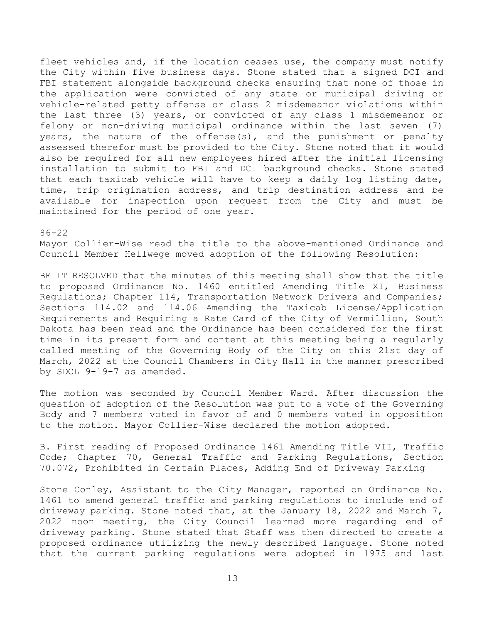fleet vehicles and, if the location ceases use, the company must notify the City within five business days. Stone stated that a signed DCI and FBI statement alongside background checks ensuring that none of those in the application were convicted of any state or municipal driving or vehicle-related petty offense or class 2 misdemeanor violations within the last three (3) years, or convicted of any class 1 misdemeanor or felony or non-driving municipal ordinance within the last seven (7) years, the nature of the offense(s), and the punishment or penalty assessed therefor must be provided to the City. Stone noted that it would also be required for all new employees hired after the initial licensing installation to submit to FBI and DCI background checks. Stone stated that each taxicab vehicle will have to keep a daily log listing date, time, trip origination address, and trip destination address and be available for inspection upon request from the City and must be maintained for the period of one year.

#### 86-22

Mayor Collier-Wise read the title to the above-mentioned Ordinance and Council Member Hellwege moved adoption of the following Resolution:

BE IT RESOLVED that the minutes of this meeting shall show that the title to proposed Ordinance No. 1460 entitled Amending Title XI, Business Regulations; Chapter 114, Transportation Network Drivers and Companies; Sections 114.02 and 114.06 Amending the Taxicab License/Application Requirements and Requiring a Rate Card of the City of Vermillion, South Dakota has been read and the Ordinance has been considered for the first time in its present form and content at this meeting being a regularly called meeting of the Governing Body of the City on this 21st day of March, 2022 at the Council Chambers in City Hall in the manner prescribed by SDCL 9-19-7 as amended.

The motion was seconded by Council Member Ward. After discussion the question of adoption of the Resolution was put to a vote of the Governing Body and 7 members voted in favor of and 0 members voted in opposition to the motion. Mayor Collier-Wise declared the motion adopted.

B. First reading of Proposed Ordinance 1461 Amending Title VII, Traffic Code; Chapter 70, General Traffic and Parking Regulations, Section 70.072, Prohibited in Certain Places, Adding End of Driveway Parking

Stone Conley, Assistant to the City Manager, reported on Ordinance No. 1461 to amend general traffic and parking regulations to include end of driveway parking. Stone noted that, at the January 18, 2022 and March 7, 2022 noon meeting, the City Council learned more regarding end of driveway parking. Stone stated that Staff was then directed to create a proposed ordinance utilizing the newly described language. Stone noted that the current parking regulations were adopted in 1975 and last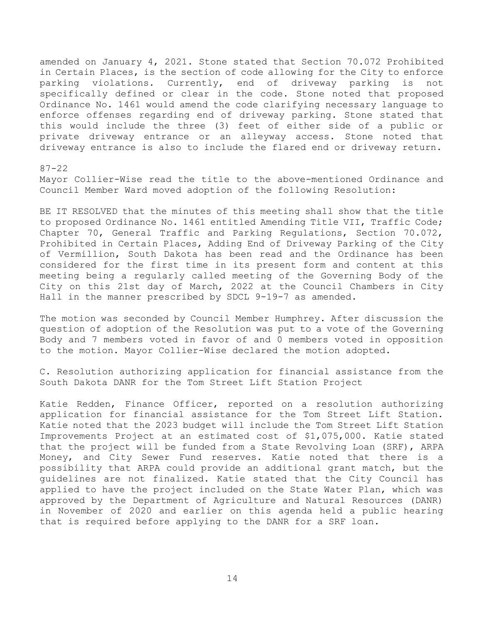amended on January 4, 2021. Stone stated that Section 70.072 Prohibited in Certain Places, is the section of code allowing for the City to enforce parking violations. Currently, end of driveway parking is not specifically defined or clear in the code. Stone noted that proposed Ordinance No. 1461 would amend the code clarifying necessary language to enforce offenses regarding end of driveway parking. Stone stated that

this would include the three (3) feet of either side of a public or private driveway entrance or an alleyway access. Stone noted that driveway entrance is also to include the flared end or driveway return.

# 87-22

Mayor Collier-Wise read the title to the above-mentioned Ordinance and Council Member Ward moved adoption of the following Resolution:

BE IT RESOLVED that the minutes of this meeting shall show that the title to proposed Ordinance No. 1461 entitled Amending Title VII, Traffic Code; Chapter 70, General Traffic and Parking Regulations, Section 70.072, Prohibited in Certain Places, Adding End of Driveway Parking of the City of Vermillion, South Dakota has been read and the Ordinance has been considered for the first time in its present form and content at this meeting being a regularly called meeting of the Governing Body of the City on this 21st day of March, 2022 at the Council Chambers in City Hall in the manner prescribed by SDCL 9-19-7 as amended.

The motion was seconded by Council Member Humphrey. After discussion the question of adoption of the Resolution was put to a vote of the Governing Body and 7 members voted in favor of and 0 members voted in opposition to the motion. Mayor Collier-Wise declared the motion adopted.

C. Resolution authorizing application for financial assistance from the South Dakota DANR for the Tom Street Lift Station Project

Katie Redden, Finance Officer, reported on a resolution authorizing application for financial assistance for the Tom Street Lift Station. Katie noted that the 2023 budget will include the Tom Street Lift Station Improvements Project at an estimated cost of \$1,075,000. Katie stated that the project will be funded from a State Revolving Loan (SRF), ARPA Money, and City Sewer Fund reserves. Katie noted that there is a possibility that ARPA could provide an additional grant match, but the guidelines are not finalized. Katie stated that the City Council has applied to have the project included on the State Water Plan, which was approved by the Department of Agriculture and Natural Resources (DANR) in November of 2020 and earlier on this agenda held a public hearing that is required before applying to the DANR for a SRF loan.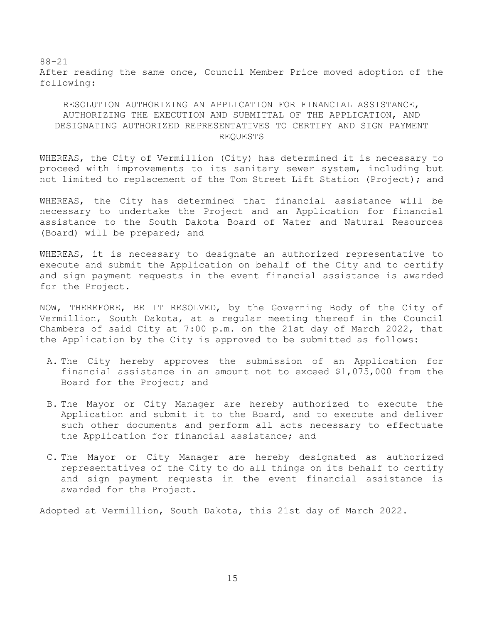88-21 After reading the same once, Council Member Price moved adoption of the following:

# RESOLUTION AUTHORIZING AN APPLICATION FOR FINANCIAL ASSISTANCE, AUTHORIZING THE EXECUTION AND SUBMITTAL OF THE APPLICATION, AND DESIGNATING AUTHORIZED REPRESENTATIVES TO CERTIFY AND SIGN PAYMENT REQUESTS

WHEREAS, the City of Vermillion (City) has determined it is necessary to proceed with improvements to its sanitary sewer system, including but not limited to replacement of the Tom Street Lift Station (Project); and

WHEREAS, the City has determined that financial assistance will be necessary to undertake the Project and an Application for financial assistance to the South Dakota Board of Water and Natural Resources (Board) will be prepared; and

WHEREAS, it is necessary to designate an authorized representative to execute and submit the Application on behalf of the City and to certify and sign payment requests in the event financial assistance is awarded for the Project.

NOW, THEREFORE, BE IT RESOLVED, by the Governing Body of the City of Vermillion, South Dakota, at a regular meeting thereof in the Council Chambers of said City at 7:00 p.m. on the 21st day of March 2022, that the Application by the City is approved to be submitted as follows:

- A. The City hereby approves the submission of an Application for financial assistance in an amount not to exceed \$1,075,000 from the Board for the Project; and
- B. The Mayor or City Manager are hereby authorized to execute the Application and submit it to the Board, and to execute and deliver such other documents and perform all acts necessary to effectuate the Application for financial assistance; and
- C. The Mayor or City Manager are hereby designated as authorized representatives of the City to do all things on its behalf to certify and sign payment requests in the event financial assistance is awarded for the Project.

Adopted at Vermillion, South Dakota, this 21st day of March 2022.

15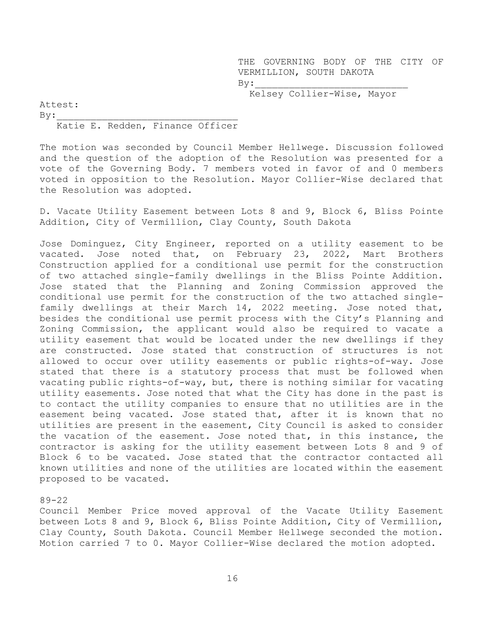THE GOVERNING BODY OF THE CITY OF VERMILLION, SOUTH DAKOTA  $By:$ 

Kelsey Collier-Wise, Mayor

Attest:  $By:$ 

## Katie E. Redden, Finance Officer

The motion was seconded by Council Member Hellwege. Discussion followed and the question of the adoption of the Resolution was presented for a vote of the Governing Body. 7 members voted in favor of and 0 members voted in opposition to the Resolution. Mayor Collier-Wise declared that the Resolution was adopted.

D. Vacate Utility Easement between Lots 8 and 9, Block 6, Bliss Pointe Addition, City of Vermillion, Clay County, South Dakota

Jose Dominguez, City Engineer, reported on a utility easement to be vacated. Jose noted that, on February 23, 2022, Mart Brothers Construction applied for a conditional use permit for the construction of two attached single-family dwellings in the Bliss Pointe Addition. Jose stated that the Planning and Zoning Commission approved the conditional use permit for the construction of the two attached singlefamily dwellings at their March 14, 2022 meeting. Jose noted that, besides the conditional use permit process with the City's Planning and Zoning Commission, the applicant would also be required to vacate a utility easement that would be located under the new dwellings if they are constructed. Jose stated that construction of structures is not allowed to occur over utility easements or public rights-of-way. Jose stated that there is a statutory process that must be followed when vacating public rights-of-way, but, there is nothing similar for vacating utility easements. Jose noted that what the City has done in the past is to contact the utility companies to ensure that no utilities are in the easement being vacated. Jose stated that, after it is known that no utilities are present in the easement, City Council is asked to consider the vacation of the easement. Jose noted that, in this instance, the contractor is asking for the utility easement between Lots 8 and 9 of Block 6 to be vacated. Jose stated that the contractor contacted all known utilities and none of the utilities are located within the easement proposed to be vacated.

#### 89-22

Council Member Price moved approval of the Vacate Utility Easement between Lots 8 and 9, Block 6, Bliss Pointe Addition, City of Vermillion, Clay County, South Dakota. Council Member Hellwege seconded the motion. Motion carried 7 to 0. Mayor Collier-Wise declared the motion adopted.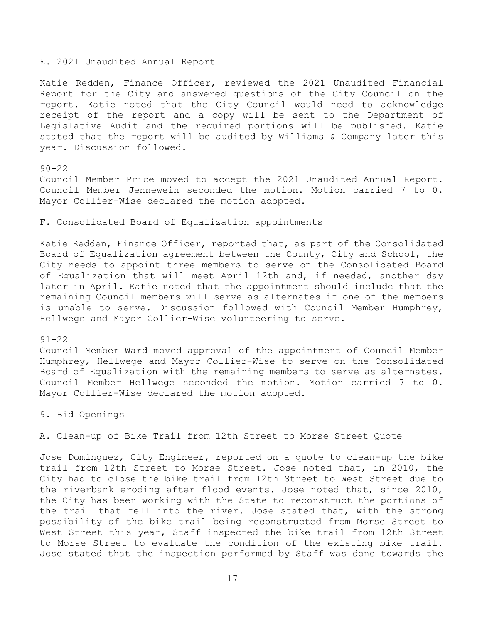#### E. 2021 Unaudited Annual Report

Katie Redden, Finance Officer, reviewed the 2021 Unaudited Financial Report for the City and answered questions of the City Council on the report. Katie noted that the City Council would need to acknowledge receipt of the report and a copy will be sent to the Department of Legislative Audit and the required portions will be published. Katie stated that the report will be audited by Williams & Company later this year. Discussion followed.

90-22

Council Member Price moved to accept the 2021 Unaudited Annual Report. Council Member Jennewein seconded the motion. Motion carried 7 to 0. Mayor Collier-Wise declared the motion adopted.

F. Consolidated Board of Equalization appointments

Katie Redden, Finance Officer, reported that, as part of the Consolidated Board of Equalization agreement between the County, City and School, the City needs to appoint three members to serve on the Consolidated Board of Equalization that will meet April 12th and, if needed, another day later in April. Katie noted that the appointment should include that the remaining Council members will serve as alternates if one of the members is unable to serve. Discussion followed with Council Member Humphrey, Hellwege and Mayor Collier-Wise volunteering to serve.

## 91-22

Council Member Ward moved approval of the appointment of Council Member Humphrey, Hellwege and Mayor Collier-Wise to serve on the Consolidated Board of Equalization with the remaining members to serve as alternates. Council Member Hellwege seconded the motion. Motion carried 7 to 0. Mayor Collier-Wise declared the motion adopted.

9. Bid Openings

A. Clean-up of Bike Trail from 12th Street to Morse Street Quote

Jose Dominguez, City Engineer, reported on a quote to clean-up the bike trail from 12th Street to Morse Street. Jose noted that, in 2010, the City had to close the bike trail from 12th Street to West Street due to the riverbank eroding after flood events. Jose noted that, since 2010, the City has been working with the State to reconstruct the portions of the trail that fell into the river. Jose stated that, with the strong possibility of the bike trail being reconstructed from Morse Street to West Street this year, Staff inspected the bike trail from 12th Street to Morse Street to evaluate the condition of the existing bike trail. Jose stated that the inspection performed by Staff was done towards the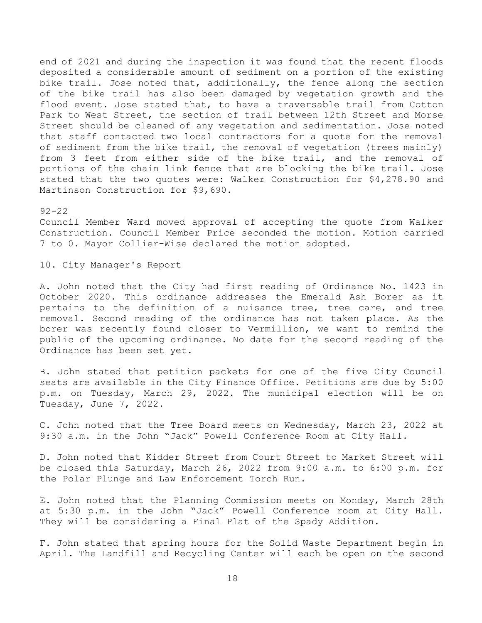end of 2021 and during the inspection it was found that the recent floods deposited a considerable amount of sediment on a portion of the existing bike trail. Jose noted that, additionally, the fence along the section of the bike trail has also been damaged by vegetation growth and the flood event. Jose stated that, to have a traversable trail from Cotton Park to West Street, the section of trail between 12th Street and Morse Street should be cleaned of any vegetation and sedimentation. Jose noted that staff contacted two local contractors for a quote for the removal of sediment from the bike trail, the removal of vegetation (trees mainly) from 3 feet from either side of the bike trail, and the removal of portions of the chain link fence that are blocking the bike trail. Jose stated that the two quotes were: Walker Construction for \$4,278.90 and Martinson Construction for \$9,690.

# 92-22

Council Member Ward moved approval of accepting the quote from Walker Construction. Council Member Price seconded the motion. Motion carried 7 to 0. Mayor Collier-Wise declared the motion adopted.

10. City Manager's Report

A. John noted that the City had first reading of Ordinance No. 1423 in October 2020. This ordinance addresses the Emerald Ash Borer as it pertains to the definition of a nuisance tree, tree care, and tree removal. Second reading of the ordinance has not taken place. As the borer was recently found closer to Vermillion, we want to remind the public of the upcoming ordinance. No date for the second reading of the Ordinance has been set yet.

B. John stated that petition packets for one of the five City Council seats are available in the City Finance Office. Petitions are due by 5:00 p.m. on Tuesday, March 29, 2022. The municipal election will be on Tuesday, June 7, 2022.

C. John noted that the Tree Board meets on Wednesday, March 23, 2022 at 9:30 a.m. in the John "Jack" Powell Conference Room at City Hall.

D. John noted that Kidder Street from Court Street to Market Street will be closed this Saturday, March 26, 2022 from 9:00 a.m. to 6:00 p.m. for the Polar Plunge and Law Enforcement Torch Run.

E. John noted that the Planning Commission meets on Monday, March 28th at 5:30 p.m. in the John "Jack" Powell Conference room at City Hall. They will be considering a Final Plat of the Spady Addition.

F. John stated that spring hours for the Solid Waste Department begin in April. The Landfill and Recycling Center will each be open on the second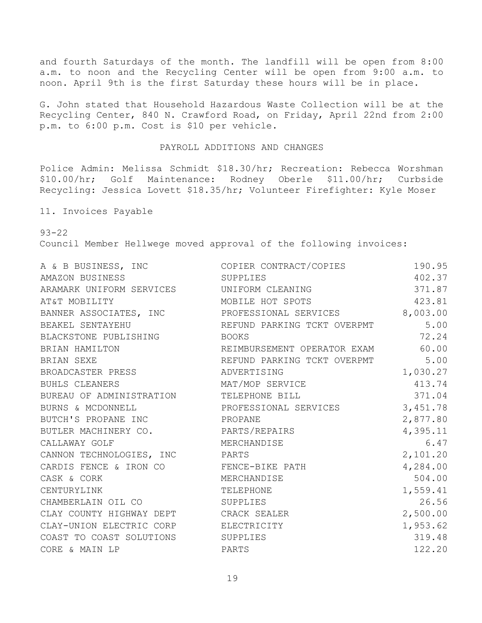and fourth Saturdays of the month. The landfill will be open from 8:00 a.m. to noon and the Recycling Center will be open from 9:00 a.m. to noon. April 9th is the first Saturday these hours will be in place.

G. John stated that Household Hazardous Waste Collection will be at the Recycling Center, 840 N. Crawford Road, on Friday, April 22nd from 2:00 p.m. to 6:00 p.m. Cost is \$10 per vehicle.

# PAYROLL ADDITIONS AND CHANGES

Police Admin: Melissa Schmidt \$18.30/hr; Recreation: Rebecca Worshman \$10.00/hr; Golf Maintenance: Rodney Oberle \$11.00/hr; Curbside Recycling: Jessica Lovett \$18.35/hr; Volunteer Firefighter: Kyle Moser

11. Invoices Payable

93-22

Council Member Hellwege moved approval of the following invoices:

|                                           | A & B BUSINESS, INC COPIER CONTRACT/COPIES            | 190.95   |
|-------------------------------------------|-------------------------------------------------------|----------|
| AMAZON BUSINESS                           | SUPPLIES                                              | 402.37   |
| ARAMARK UNIFORM SERVICES UNIFORM CLEANING |                                                       | 371.87   |
| AT&T MOBILITY                             | MOBILE HOT SPOTS                                      | 423.81   |
|                                           | BANNER ASSOCIATES, INC PROFESSIONAL SERVICES 8,003.00 |          |
| BEAKEL SENTAYEHU                          | REFUND PARKING TCKT OVERPMT 5.00                      |          |
| BLACKSTONE PUBLISHING BOOKS               |                                                       | 72.24    |
| BRIAN HAMILTON                            | REIMBURSEMENT OPERATOR EXAM                           | 60.00    |
| BRIAN SEXE                                | REFUND PARKING TCKT OVERPMT 5.00                      |          |
| BROADCASTER PRESS                         | ADVERTISING                                           | 1,030.27 |
| BUHLS CLEANERS                            | MAT/MOP SERVICE                                       | 413.74   |
| BUREAU OF ADMINISTRATION TELEPHONE BILL   |                                                       | 371.04   |
|                                           | BURNS & MCDONNELL PROFESSIONAL SERVICES               | 3,451.78 |
| BUTCH'S PROPANE INC PROPANE               |                                                       | 2,877.80 |
| BUTLER MACHINERY CO. PARTS/REPAIRS        |                                                       | 4,395.11 |
| CALLAWAY GOLF                             | MERCHANDISE                                           | 6.47     |
| CANNON TECHNOLOGIES, INC PARTS            |                                                       | 2,101.20 |
| CARDIS FENCE & IRON CO FENCE-BIKE PATH    |                                                       | 4,284.00 |
| CASK & CORK                               | MERCHANDISE                                           | 504.00   |
| CENTURYLINK                               | TELEPHONE                                             | 1,559.41 |
| CHAMBERLAIN OIL CO SUPPLIES               |                                                       | 26.56    |
| CLAY COUNTY HIGHWAY DEPT CRACK SEALER     |                                                       | 2,500.00 |
| CLAY-UNION ELECTRIC CORP ELECTRICITY      |                                                       | 1,953.62 |
| COAST TO COAST SOLUTIONS SUPPLIES         |                                                       | 319.48   |
| CORE & MAIN LP                            | PARTS                                                 | 122.20   |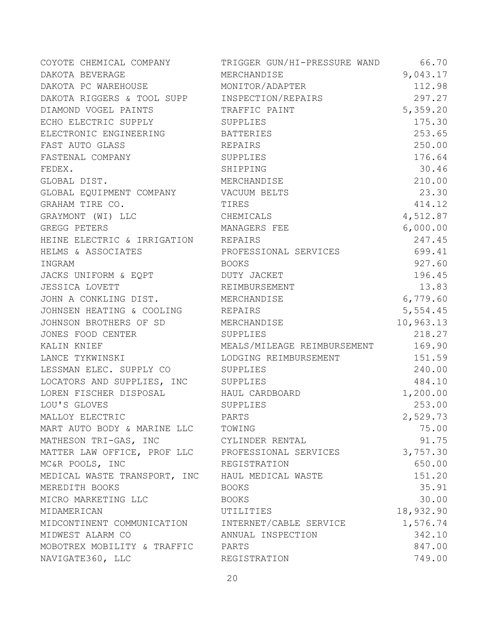| COYOTE CHEMICAL COMPANY                           | TRIGGER GUN/HI-PRESSURE WAND | 66.70     |
|---------------------------------------------------|------------------------------|-----------|
| DAKOTA BEVERAGE                                   | MERCHANDISE                  | 9,043.17  |
| DAKOTA PC WAREHOUSE MONITOR/ADAPTER               |                              | 112.98    |
| DAKOTA RIGGERS & TOOL SUPP INSPECTION/REPAIRS     |                              | 297.27    |
| DIAMOND VOGEL PAINTS TRAFFIC PAINT                |                              | 5,359.20  |
| ECHO ELECTRIC SUPPLY SUPPLIES                     |                              | 175.30    |
| ELECTRONIC ENGINEERING BATTERIES                  |                              | 253.65    |
| FAST AUTO GLASS                                   | REPAIRS                      | 250.00    |
| FASTENAL COMPANY                                  | SUPPLIES                     | 176.64    |
| FEDEX.                                            | SHIPPING                     | 30.46     |
| GLOBAL DIST.                                      | MERCHANDISE                  | 210.00    |
| GLOBAL EQUIPMENT COMPANY VACUUM BELTS             |                              | 23.30     |
| GRAHAM TIRE CO.                                   | TIRES                        | 414.12    |
| GRAYMONT (WI) LLC                                 | CHEMICALS                    | 4,512.87  |
| GREGG PETERS                                      | MANAGERS FEE                 | 6,000.00  |
| HEINE ELECTRIC & IRRIGATION REPAIRS               |                              | 247.45    |
| HELMS & ASSOCIATES                                | PROFESSIONAL SERVICES        | 699.41    |
| INGRAM                                            | BOOKS                        | 927.60    |
| JACKS UNIFORM & EQPT                              | DUTY JACKET                  | 196.45    |
| JESSICA LOVETT REIMBURSEMENT                      |                              | 13.83     |
| JOHN A CONKLING DIST. MERCHANDISE                 |                              | 6,779.60  |
| JOHNSEN HEATING & COOLING REPAIRS                 |                              | 5,554.45  |
| JOHNSON BROTHERS OF SD MERCHANDISE                |                              | 10,963.13 |
| JONES FOOD CENTER SUPPLIES                        |                              | 218.27    |
| KALIN KNIEF                                       | MEALS/MILEAGE REIMBURSEMENT  | 169.90    |
| LANCE TYKWINSKI                                   | LODGING REIMBURSEMENT        | 151.59    |
| LESSMAN ELEC. SUPPLY CO SUPPLIES                  |                              | 240.00    |
| LOCATORS AND SUPPLIES, INC SUPPLIES               |                              | 484.10    |
| LOREN FISCHER DISPOSAL HAUL CARDBOARD             |                              | 1,200.00  |
| LOU'S GLOVES                                      | SUPPLIES                     | 253.00    |
| MALLOY ELECTRIC                                   | PARTS                        | 2,529.73  |
| MART AUTO BODY & MARINE LLC                       | TOWING                       | 75.00     |
| MATHESON TRI-GAS, INC                             | CYLINDER RENTAL              | 91.75     |
| MATTER LAW OFFICE, PROF LLC PROFESSIONAL SERVICES |                              | 3,757.30  |
| MC&R POOLS, INC                                   | REGISTRATION                 | 650.00    |
| MEDICAL WASTE TRANSPORT, INC HAUL MEDICAL WASTE   |                              | 151.20    |
| MEREDITH BOOKS                                    | BOOKS                        | 35.91     |
| MICRO MARKETING LLC                               | BOOKS                        | 30.00     |
| MIDAMERICAN                                       | UTILITIES                    | 18,932.90 |
| MIDCONTINENT COMMUNICATION INTERNET/CABLE SERVICE |                              | 1,576.74  |
| MIDWEST ALARM CO                                  | ANNUAL INSPECTION            | 342.10    |
| MOBOTREX MOBILITY & TRAFFIC PARTS                 |                              | 847.00    |
| NAVIGATE360, LLC                                  | REGISTRATION                 | 749.00    |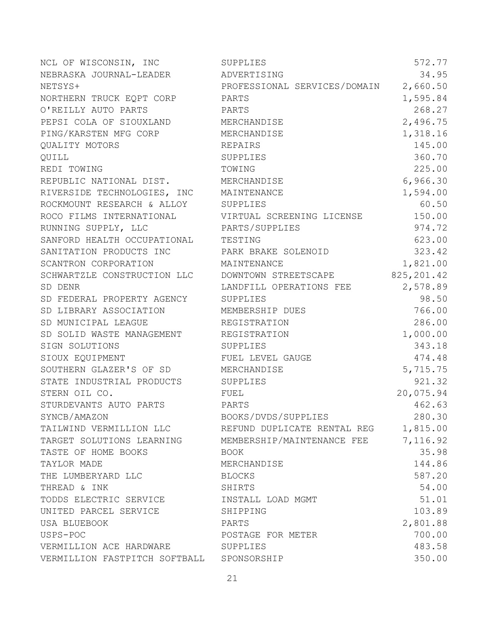NCL OF WISCONSIN, INC SUPPLIES 572.77 NEBRASKA JOURNAL-LEADER ADVERTISING 34.95 NETSYS+ PROFESSIONAL SERVICES/DOMAIN 2,660.50 NORTHERN TRUCK EQPT CORP PARTS 1,595.84 O'REILLY AUTO PARTS PARTS 268.27 PEPSI COLA OF SIOUXLAND MERCHANDISE 2,496.75 PING/KARSTEN MFG CORP MERCHANDISE 1,318.16 QUALITY MOTORS REPAIRS 145.00 QUILL 360.70 REDI TOWING TOWING TOWING TOWING TOWING 225.00 REPUBLIC NATIONAL DIST. MERCHANDISE 6,966.30 RIVERSIDE TECHNOLOGIES, INC MAINTENANCE 1,594.00 ROCKMOUNT RESEARCH & ALLOY SUPPLIES 60.50 ROCO FILMS INTERNATIONAL **VIRTUAL SCREENING LICENSE** 150.00 RUNNING SUPPLY, LLC **PARTS/SUPPLIES** 974.72 SANFORD HEALTH OCCUPATIONAL TESTING 623.00 SANITATION PRODUCTS INC **PARK BRAKE SOLENOID** 323.42 SCANTRON CORPORATION MAINTENANCE 1,821.00 SCHWARTZLE CONSTRUCTION LLC DOWNTOWN STREETSCAPE 825,201.42 SD DENR LANDFILL OPERATIONS FEE 2,578.89 SD FEDERAL PROPERTY AGENCY SUPPLIES 98.50 SD LIBRARY ASSOCIATION MEMBERSHIP DUES 766.00 SD MUNICIPAL LEAGUE REGISTRATION 286.00 SD SOLID WASTE MANAGEMENT REGISTRATION 1,000.00 SIGN SOLUTIONS SUPPLIES 343.18 SIOUX EOUIPMENT FUEL LEVEL GAUGE 474.48 SOUTHERN GLAZER'S OF SD MERCHANDISE 5,715.75 STATE INDUSTRIAL PRODUCTS SUPPLIES 921.32 STERN OIL CO. FUEL 20,075.94 STURDEVANTS AUTO PARTS PARTS 462.63 SYNCB/AMAZON BOOKS/DVDS/SUPPLIES 280.30 TAILWIND VERMILLION LLC REFUND DUPLICATE RENTAL REG 1,815.00 TARGET SOLUTIONS LEARNING MEMBERSHIP/MAINTENANCE FEE 7,116.92 TASTE OF HOME BOOKS BOOK 35.98 TAYLOR MADE MERCHANDISE 144.86 THE LUMBERYARD LLC BLOCKS BLOCKS 587.20 THREAD & INK SHIRTS SHIRTS 54.00 TODDS ELECTRIC SERVICE INSTALL LOAD MGMT 51.01 UNITED PARCEL SERVICE SHIPPING SHIPPING 103.89 USA BLUEBOOK PARTS 2,801.88 USPS-POC POSTAGE FOR METER 700.00 VERMILLION ACE HARDWARE SUPPLIES 483.58 VERMILLION FASTPITCH SOFTBALL SPONSORSHIP 350.00